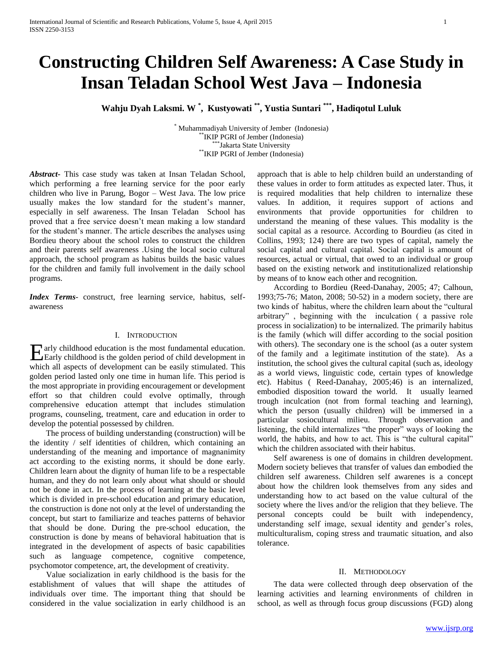# **Constructing Children Self Awareness: A Case Study in Insan Teladan School West Java – Indonesia**

**Wahju Dyah Laksmi. W \* , Kustyowati \*\*, Yustia Suntari \*\*\*, Hadiqotul Luluk**

\* Muhammadiyah University of Jember (Indonesia) \*\*IKIP PGRI of Jember (Indonesia) \*\*\*Jakarta State University \*\*IKIP PGRI of Jember (Indonesia)

*Abstract***-** This case study was taken at Insan Teladan School, which performing a free learning service for the poor early children who live in Parung, Bogor – West Java. The low price usually makes the low standard for the student's manner, especially in self awareness. The Insan Teladan School has proved that a free service doesn't mean making a low standard for the student's manner. The article describes the analyses using Bordieu theory about the school roles to construct the children and their parents self awareness .Using the local socio cultural approach, the school program as habitus builds the basic values for the children and family full involvement in the daily school programs.

*Index Terms*- construct, free learning service, habitus, selfawareness

## I. INTRODUCTION

arly childhood education is the most fundamental education. Early childhood education is the most fundamental education.<br>Early childhood is the golden period of child development in which all aspects of development can be easily stimulated. This golden period lasted only one time in human life. This period is the most appropriate in providing encouragement or development effort so that children could evolve optimally, through comprehensive education attempt that includes stimulation programs, counseling, treatment, care and education in order to develop the potential possessed by children.

 The process of building understanding (construction) will be the identity / self identities of children, which containing an understanding of the meaning and importance of magnanimity act according to the existing norms, it should be done early. Children learn about the dignity of human life to be a respectable human, and they do not learn only about what should or should not be done in act. In the process of learning at the basic level which is divided in pre-school education and primary education, the construction is done not only at the level of understanding the concept, but start to familiarize and teaches patterns of behavior that should be done. During the pre-school education, the construction is done by means of behavioral habituation that is integrated in the development of aspects of basic capabilities such as language competence, cognitive competence, psychomotor competence, art, the development of creativity.

 Value socialization in early childhood is the basis for the establishment of values that will shape the attitudes of individuals over time. The important thing that should be considered in the value socialization in early childhood is an

approach that is able to help children build an understanding of these values in order to form attitudes as expected later. Thus, it is required modalities that help children to internalize these values. In addition, it requires support of actions and environments that provide opportunities for children to understand the meaning of these values. This modality is the social capital as a resource. According to Bourdieu (as cited in Collins, 1993; 124) there are two types of capital, namely the social capital and cultural capital. Social capital is amount of resources, actual or virtual, that owed to an individual or group based on the existing network and institutionalized relationship by means of to know each other and recognition.

 According to Bordieu (Reed-Danahay, 2005; 47; Calhoun, 1993;75-76; Maton, 2008; 50-52) in a modern society, there are two kinds of habitus, where the children learn about the "cultural arbitrary" , beginning with the inculcation ( a passive role process in socialization) to be internalized. The primarily habitus is the family (which will differ according to the social position with others). The secondary one is the school (as a outer system of the family and a legitimate institution of the state). As a institution, the school gives the cultural capital (such as, ideology as a world views, linguistic code, certain types of knowledge etc). Habitus ( Reed-Danahay, 2005;46) is an internalized, embodied disposition toward the world. It usually learned trough inculcation (not from formal teaching and learning), which the person (usually children) will be immersed in a particular sosiocultural milieu. Through observation and listening, the child internalizes "the proper" ways of looking the world, the habits, and how to act. This is "the cultural capital" which the children associated with their habitus.

 Self awareness is one of domains in children development. Modern society believes that transfer of values dan embodied the children self awareness. Children self awarenes is a concept about how the children look themselves from any sides and understanding how to act based on the value cultural of the society where the lives and/or the religion that they believe. The personal concepts could be built with independency, understanding self image, sexual identity and gender's roles, multiculturalism, coping stress and traumatic situation, and also tolerance.

# II. METHODOLOGY

 The data were collected through deep observation of the learning activities and learning environments of children in school, as well as through focus group discussions (FGD) along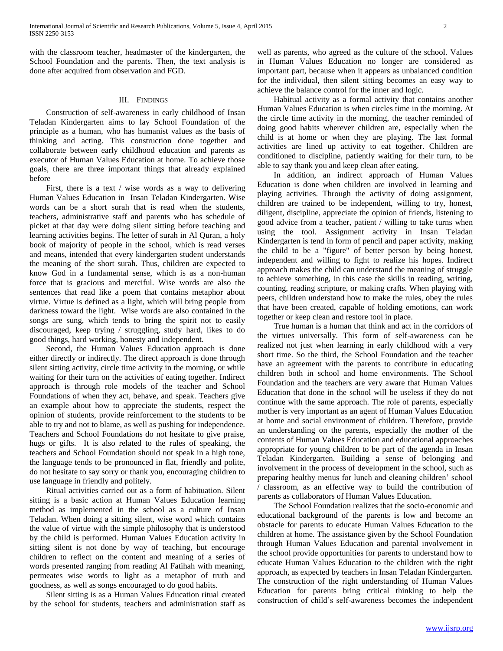with the classroom teacher, headmaster of the kindergarten, the School Foundation and the parents. Then, the text analysis is done after acquired from observation and FGD.

## III. FINDINGS

 Construction of self-awareness in early childhood of Insan Teladan Kindergarten aims to lay School Foundation of the principle as a human, who has humanist values as the basis of thinking and acting. This construction done together and collaborate between early childhood education and parents as executor of Human Values Education at home. To achieve those goals, there are three important things that already explained before

 First, there is a text / wise words as a way to delivering Human Values Education in Insan Teladan Kindergarten. Wise words can be a short surah that is read when the students, teachers, administrative staff and parents who has schedule of picket at that day were doing silent sitting before teaching and learning activities begins. The letter of surah in Al Quran, a holy book of majority of people in the school, which is read verses and means, intended that every kindergarten student understands the meaning of the short surah. Thus, children are expected to know God in a fundamental sense, which is as a non-human force that is gracious and merciful. Wise words are also the sentences that read like a poem that contains metaphor about virtue. Virtue is defined as a light, which will bring people from darkness toward the light. Wise words are also contained in the songs are sung, which tends to bring the spirit not to easily discouraged, keep trying / struggling, study hard, likes to do good things, hard working, honesty and independent.

 Second, the Human Values Education approach is done either directly or indirectly. The direct approach is done through silent sitting activity, circle time activity in the morning, or while waiting for their turn on the activities of eating together. Indirect approach is through role models of the teacher and School Foundations of when they act, behave, and speak. Teachers give an example about how to appreciate the students, respect the opinion of students, provide reinforcement to the students to be able to try and not to blame, as well as pushing for independence. Teachers and School Foundations do not hesitate to give praise, hugs or gifts. It is also related to the rules of speaking, the teachers and School Foundation should not speak in a high tone, the language tends to be pronounced in flat, friendly and polite, do not hesitate to say sorry or thank you, encouraging children to use language in friendly and politely.

 Ritual activities carried out as a form of habituation. Silent sitting is a basic action at Human Values Education learning method as implemented in the school as a culture of Insan Teladan. When doing a sitting silent, wise word which contains the value of virtue with the simple philosophy that is understood by the child is performed. Human Values Education activity in sitting silent is not done by way of teaching, but encourage children to reflect on the content and meaning of a series of words presented ranging from reading Al Fatihah with meaning, permeates wise words to light as a metaphor of truth and goodness, as well as songs encouraged to do good habits.

 Silent sitting is as a Human Values Education ritual created by the school for students, teachers and administration staff as

well as parents, who agreed as the culture of the school. Values in Human Values Education no longer are considered as important part, because when it appears as unbalanced condition for the individual, then silent sitting becomes an easy way to achieve the balance control for the inner and logic.

 Habitual activity as a formal activity that contains another Human Values Education is when circles time in the morning. At the circle time activity in the morning, the teacher reminded of doing good habits wherever children are, especially when the child is at home or when they are playing. The last formal activities are lined up activity to eat together. Children are conditioned to discipline, patiently waiting for their turn, to be able to say thank you and keep clean after eating.

 In addition, an indirect approach of Human Values Education is done when children are involved in learning and playing activities. Through the activity of doing assignment, children are trained to be independent, willing to try, honest, diligent, discipline, appreciate the opinion of friends, listening to good advice from a teacher, patient / willing to take turns when using the tool. Assignment activity in Insan Teladan Kindergarten is tend in form of pencil and paper activity, making the child to be a "figure" of better person by being honest, independent and willing to fight to realize his hopes. Indirect approach makes the child can understand the meaning of struggle to achieve something, in this case the skills in reading, writing, counting, reading scripture, or making crafts. When playing with peers, children understand how to make the rules, obey the rules that have been created, capable of holding emotions, can work together or keep clean and restore tool in place.

 True human is a human that think and act in the corridors of the virtues universally. This form of self-awareness can be realized not just when learning in early childhood with a very short time. So the third, the School Foundation and the teacher have an agreement with the parents to contribute in educating children both in school and home environments. The School Foundation and the teachers are very aware that Human Values Education that done in the school will be useless if they do not continue with the same approach. The role of parents, especially mother is very important as an agent of Human Values Education at home and social environment of children. Therefore, provide an understanding on the parents, especially the mother of the contents of Human Values Education and educational approaches appropriate for young children to be part of the agenda in Insan Teladan Kindergarten. Building a sense of belonging and involvement in the process of development in the school, such as preparing healthy menus for lunch and cleaning children' school / classroom, as an effective way to build the contribution of parents as collaborators of Human Values Education.

 The School Foundation realizes that the socio-economic and educational background of the parents is low and become an obstacle for parents to educate Human Values Education to the children at home. The assistance given by the School Foundation through Human Values Education and parental involvement in the school provide opportunities for parents to understand how to educate Human Values Education to the children with the right approach, as expected by teachers in Insan Teladan Kindergarten. The construction of the right understanding of Human Values Education for parents bring critical thinking to help the construction of child's self-awareness becomes the independent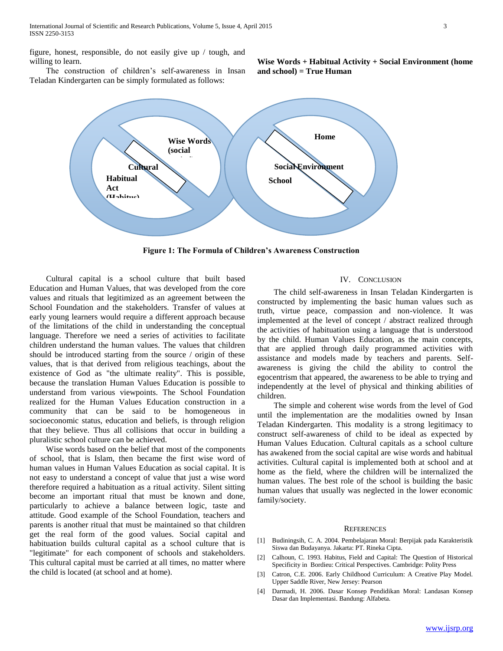figure, honest, responsible, do not easily give up / tough, and willing to learn.

**Wise Words + Habitual Activity + Social Environment (home and school) = True Human**

 The construction of children's self-awareness in Insan Teladan Kindergarten can be simply formulated as follows:



**Figure 1: The Formula of Children's Awareness Construction**

 Cultural capital is a school culture that built based Education and Human Values, that was developed from the core values and rituals that legitimized as an agreement between the School Foundation and the stakeholders. Transfer of values at early young learners would require a different approach because of the limitations of the child in understanding the conceptual language. Therefore we need a series of activities to facilitate children understand the human values. The values that children should be introduced starting from the source / origin of these values, that is that derived from religious teachings, about the existence of God as "the ultimate reality". This is possible, because the translation Human Values Education is possible to understand from various viewpoints. The School Foundation realized for the Human Values Education construction in a community that can be said to be homogeneous in socioeconomic status, education and beliefs, is through religion that they believe. Thus all collisions that occur in building a pluralistic school culture can be achieved.

 Wise words based on the belief that most of the components of school, that is Islam, then became the first wise word of human values in Human Values Education as social capital. It is not easy to understand a concept of value that just a wise word therefore required a habituation as a ritual activity. Silent sitting become an important ritual that must be known and done, particularly to achieve a balance between logic, taste and attitude. Good example of the School Foundation, teachers and parents is another ritual that must be maintained so that children get the real form of the good values. Social capital and habituation builds cultural capital as a school culture that is "legitimate" for each component of schools and stakeholders. This cultural capital must be carried at all times, no matter where the child is located (at school and at home).

### IV. CONCLUSION

 The child self-awareness in Insan Teladan Kindergarten is constructed by implementing the basic human values such as truth, virtue peace, compassion and non-violence. It was implemented at the level of concept / abstract realized through the activities of habituation using a language that is understood by the child. Human Values Education, as the main concepts, that are applied through daily programmed activities with assistance and models made by teachers and parents. Selfawareness is giving the child the ability to control the egocentrism that appeared, the awareness to be able to trying and independently at the level of physical and thinking abilities of children.

 The simple and coherent wise words from the level of God until the implementation are the modalities owned by Insan Teladan Kindergarten. This modality is a strong legitimacy to construct self-awareness of child to be ideal as expected by Human Values Education. Cultural capitals as a school culture has awakened from the social capital are wise words and habitual activities. Cultural capital is implemented both at school and at home as the field, where the children will be internalized the human values. The best role of the school is building the basic human values that usually was neglected in the lower economic family/society.

#### **REFERENCES**

- [1] Budiningsih, C. A. 2004. Pembelajaran Moral: Berpijak pada Karakteristik Siswa dan Budayanya. Jakarta: PT. Rineka Cipta.
- [2] Calhoun, C. 1993. Habitus, Field and Capital: The Question of Historical Specificity in Bordieu: Critical Perspectives. Cambridge: Polity Press
- [3] Catron, C.E. 2006. Early Childhood Curriculum: A Creative Play Model. Upper Saddle River, New Jersey: Pearson
- [4] Darmadi, H. 2006. Dasar Konsep Pendidikan Moral: Landasan Konsep Dasar dan Implementasi. Bandung: Alfabeta.